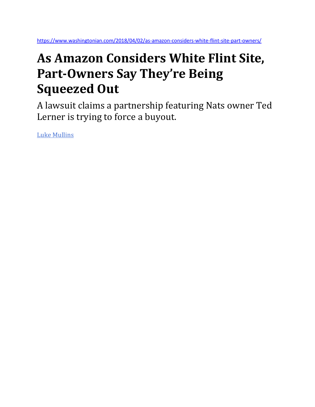## **As Amazon Considers White Flint Site, Part-Owners Say They're Being Squeezed Out**

A lawsuit claims a partnership featuring Nats owner Ted Lerner is trying to force a buyout.

[Luke Mullins](https://www.washingtonian.com/author/lmullins/)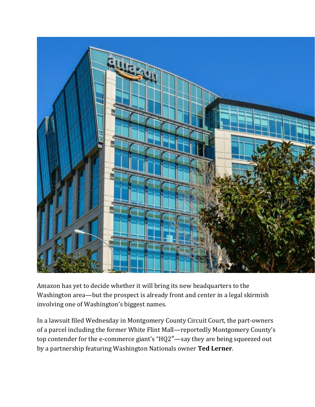

Amazon has yet to decide whether it will bring its new headquarters to the Washington area—but the prospect is already front and center in a legal skirmish involving one of Washington's biggest names.

In a lawsuit filed Wednesday in Montgomery County Circuit Court, the part-owners of a parcel including the former White Flint Mall—reportedly Montgomery County's top contender for the e-commerce giant's "HQ2″—say they are being squeezed out by a partnership featuring Washington Nationals owner **Ted Lerner**.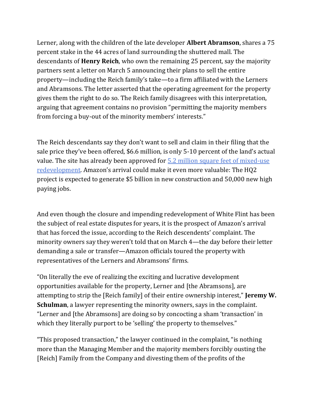Lerner, along with the children of the late developer **Albert Abramson**, shares a 75 percent stake in the 44 acres of land surrounding the shuttered mall. The descendants of **Henry Reich**, who own the remaining 25 percent, say the majority partners sent a letter on March 5 announcing their plans to sell the entire property—including the Reich family's take—to a firm affiliated with the Lerners and Abramsons. The letter asserted that the operating agreement for the property gives them the right to do so. The Reich family disagrees with this interpretation, arguing that agreement contains no provision "permitting the majority members from forcing a buy-out of the minority members' interests."

The Reich descendants say they don't want to sell and claim in their filing that the sale price they've been offered, \$6.6 million, is only 5-10 percent of the land's actual value. The site has already been approved for 5.2 million square feet of mixed-use [redevelopment](https://www.washingtonian.com/2015/03/24/4-projects-that-are-going-to-change-washington/). Amazon's arrival could make it even more valuable: The HQ2 project is expected to generate \$5 billion in new construction and 50,000 new high paying jobs.

And even though the closure and impending redevelopment of White Flint has been the subject of real estate disputes for years, it is the prospect of Amazon's arrival that has forced the issue, according to the Reich descendents' complaint. The minority owners say they weren't told that on March 4—the day before their letter demanding a sale or transfer—Amazon officials toured the property with representatives of the Lerners and Abramsons' firms.

"On literally the eve of realizing the exciting and lucrative development opportunities available for the property, Lerner and [the Abramsons], are attempting to strip the [Reich family] of their entire ownership interest," **Jeremy W. Schulman**, a lawyer representing the minority owners, says in the complaint. "Lerner and [the Abramsons] are doing so by concocting a sham 'transaction' in which they literally purport to be 'selling' the property to themselves."

"This proposed transaction," the lawyer continued in the complaint, "is nothing more than the Managing Member and the majority members forcibly ousting the [Reich] Family from the Company and divesting them of the profits of the